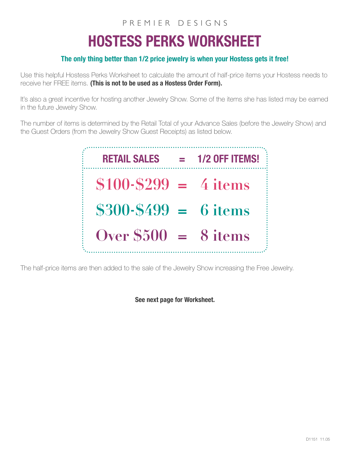## PREMIER DESIGNS

## HOSTESS PERKS WORKSHEET

## The only thing better than 1/2 price jewelry is when your Hostess gets it free!

Use this helpful Hostess Perks Worksheet to calculate the amount of half-price items your Hostess needs to receive her FREE items. (This is not to be used as a Hostess Order Form).

It's also a great incentive for hosting another Jewelry Show. Some of the items she has listed may be earned in the future Jewelry Show.

The number of items is determined by the Retail Total of your Advance Sales (before the Jewelry Show) and the Guest Orders (from the Jewelry Show Guest Receipts) as listed below.



The half-price items are then added to the sale of the Jewelry Show increasing the Free Jewelry.

See next page for Worksheet.